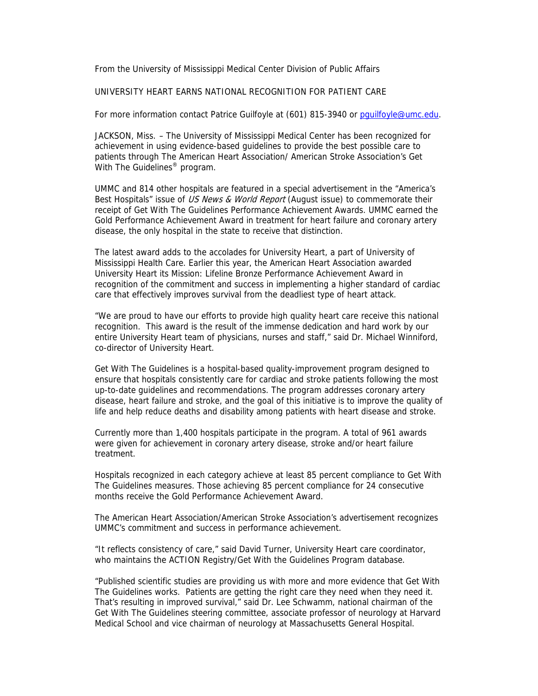From the University of Mississippi Medical Center Division of Public Affairs

## UNIVERSITY HEART EARNS NATIONAL RECOGNITION FOR PATIENT CARE

For more information contact Patrice Guilfoyle at (601) 815-3940 or pguilfoyle@umc.edu.

JACKSON, Miss. – The University of Mississippi Medical Center has been recognized for achievement in using evidence-based guidelines to provide the best possible care to patients through The American Heart Association/ American Stroke Association's Get With The Guidelines<sup>®</sup> program.

UMMC and 814 other hospitals are featured in a special advertisement in the "America's Best Hospitals" issue of US News & World Report (August issue) to commemorate their receipt of Get With The Guidelines Performance Achievement Awards. UMMC earned the Gold Performance Achievement Award in treatment for heart failure and coronary artery disease, the only hospital in the state to receive that distinction.

The latest award adds to the accolades for University Heart, a part of University of Mississippi Health Care. Earlier this year, the American Heart Association awarded University Heart its Mission: Lifeline Bronze Performance Achievement Award in recognition of the commitment and success in implementing a higher standard of cardiac care that effectively improves survival from the deadliest type of heart attack.

"We are proud to have our efforts to provide high quality heart care receive this national recognition. This award is the result of the immense dedication and hard work by our entire University Heart team of physicians, nurses and staff," said Dr. Michael Winniford, co-director of University Heart.

Get With The Guidelines is a hospital-based quality-improvement program designed to ensure that hospitals consistently care for cardiac and stroke patients following the most up-to-date guidelines and recommendations. The program addresses coronary artery disease, heart failure and stroke, and the goal of this initiative is to improve the quality of life and help reduce deaths and disability among patients with heart disease and stroke.

Currently more than 1,400 hospitals participate in the program. A total of 961 awards were given for achievement in coronary artery disease, stroke and/or heart failure treatment.

Hospitals recognized in each category achieve at least 85 percent compliance to Get With The Guidelines measures. Those achieving 85 percent compliance for 24 consecutive months receive the Gold Performance Achievement Award.

The American Heart Association/American Stroke Association's advertisement recognizes UMMC's commitment and success in performance achievement.

"It reflects consistency of care," said David Turner, University Heart care coordinator, who maintains the ACTION Registry/Get With the Guidelines Program database.

"Published scientific studies are providing us with more and more evidence that Get With The Guidelines works. Patients are getting the right care they need when they need it. That's resulting in improved survival," said Dr. Lee Schwamm, national chairman of the Get With The Guidelines steering committee, associate professor of neurology at Harvard Medical School and vice chairman of neurology at Massachusetts General Hospital.